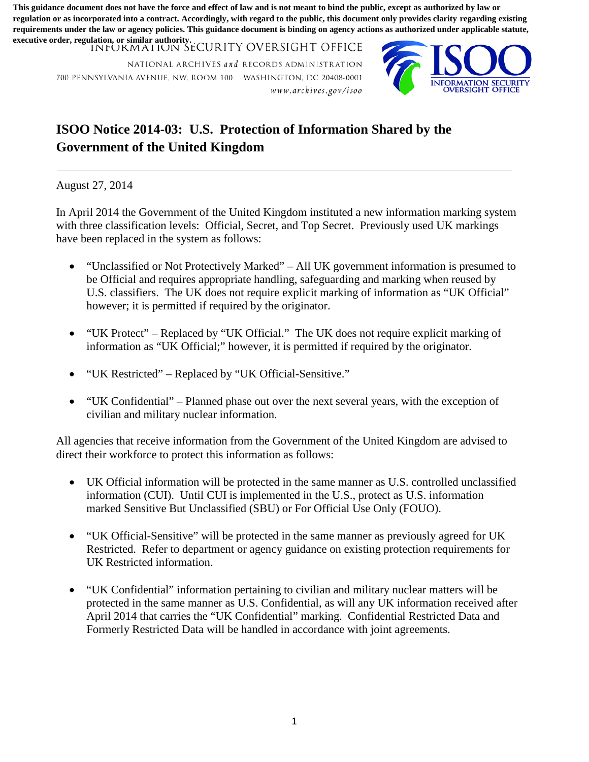**This guidance document does not have the force and effect of law and is not meant to bind the public, except as authorized by law or regulation or as incorporated into a contract. Accordingly, with regard to the public, this document only provides clarity regarding existing requirements under the law or agency policies. This guidance document is binding on agency actions as authorized under applicable statute, executive order, regulation, or similar authority.**

INFORMATION SECURITY OVERSIGHT OFFICE

NATIONAL ARCHIVES and RECORDS ADMINISTRATION 700 PENNSYLVAN IA AVENUE. NW, ROOM 100 WASHINGTON. DC 20408-000 1 *1v* w *w. a r chi* 11 *es.go v Ii so o* 



## **ISOO Notice 2014-03: U.S. Protection of Information Shared by the Government of the United Kingdom**

August 27, 2014

 with three classification levels: Official, Secret, and Top Secret. Previously used UK markings In April 2014 the Government of the United Kingdom instituted a new information marking system have been replaced in the system as follows:

- U.S. classifiers. The UK does not require explicit marking of information as "UK Official" • "Unclassified or Not Protectively Marked" – All UK government information is presumed to be Official and requires appropriate handling, safeguarding and marking when reused by however; it is permitted if required by the originator.
- • "UK Protect" Replaced by "UK Official." The UK does not require explicit marking of information as "UK Official;" however, it is permitted if required by the originator.
- "UK Restricted" Replaced by "UK Official-Sensitive."
- civilian and military nuclear information. • "UK Confidential" – Planned phase out over the next several years, with the exception of

All agencies that receive information from the Government of the United Kingdom are advised to direct their workforce to protect this information as follows:

- UK Official information will be protected in the same manner as U.S. controlled unclassified information (CUI). Until CUI is implemented in the U.S., protect as U.S. information marked Sensitive But Unclassified (SBU) or For Official Use Only (FOUO).
- • "UK Official-Sensitive" will be protected in the same manner as previously agreed for UK Restricted. Refer to department or agency guidance on existing protection requirements for UK Restricted information.
- "UK Confidential" information pertaining to civilian and military nuclear matters will be protected in the same manner as U.S. Confidential, as will any UK information received after April 2014 that carries the "UK Confidential" marking. Confidential Restricted Data and Formerly Restricted Data will be handled in accordance with joint agreements.